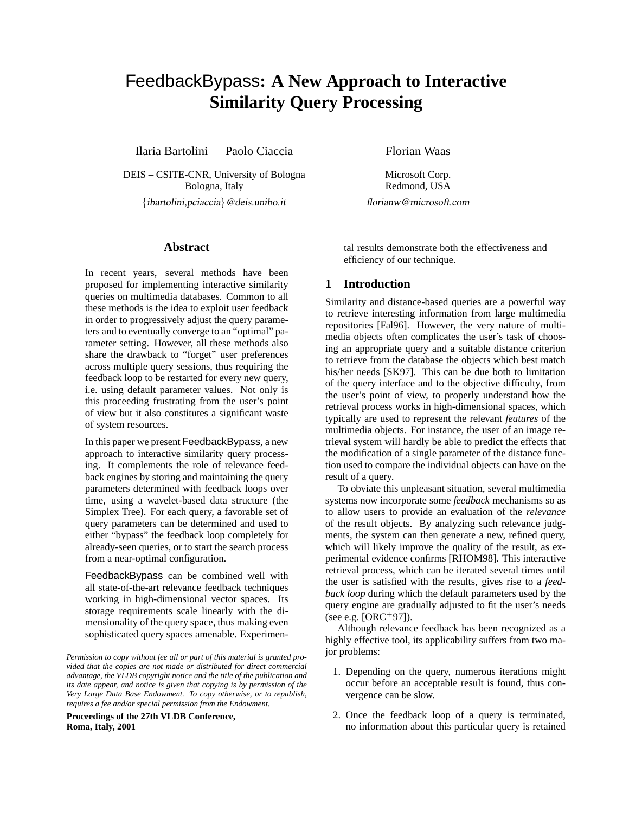# FeedbackBypass**: A New Approach to Interactive Similarity Query Processing**

[Ilaria Bartolini](mailto:ibartolini@deis.unibo.it) [Paolo Ciaccia](mailto:pciaccia@deis.unibo.it) [Florian Waas](mailto:florianw@microsoft.com)

[DEIS – CSITE-CNR, University of Bologna](http://www.deis.unibo.it) Bologna, Italy {[ibartolini,](mailto:ibartolini@deis.unibo.it)[pciaccia](mailto:pciaccia@deis.unibo.it)}@deis.unibo.it

## **Abstract**

In recent years, several methods have been proposed for implementing interactive similarity queries on multimedia databases. Common to all these methods is the idea to exploit user feedback in order to progressively adjust the query parameters and to eventually converge to an "optimal" parameter setting. However, all these methods also share the drawback to "forget" user preferences across multiple query sessions, thus requiring the feedback loop to be restarted for every new query, i.e. using default parameter values. Not only is this proceeding frustrating from the user's point of view but it also constitutes a significant waste of system resources.

In this paper we present FeedbackBypass, a new approach to interactive similarity query processing. It complements the role of relevance feedback engines by storing and maintaining the query parameters determined with feedback loops over time, using a wavelet-based data structure (the Simplex Tree). For each query, a favorable set of query parameters can be determined and used to either "bypass" the feedback loop completely for already-seen queries, or to start the search process from a near-optimal configuration.

FeedbackBypass can be combined well with all state-of-the-art relevance feedback techniques working in high-dimensional vector spaces. Its storage requirements scale linearly with the dimensionality of the query space, thus making even sophisticated query spaces amenable. Experimen-

**Proceedings of the 27th VLDB Conference, Roma, Italy, 2001**

[Microsoft Corp.](http://www.microsoft.com/sql) Redmond, USA

[florianw@microsoft.com](mailto:florianw@microsoft.com)

tal results demonstrate both the effectiveness and efficiency of our technique.

### **1 Introduction**

Similarity and distance-based queries are a powerful way to retrieve interesting information from large multimedia repositories [\[Fal96\]](#page-9-0). However, the very nature of multimedia objects often complicates the user's task of choosing an appropriate query and a suitable distance criterion to retrieve from the database the objects which best match his/her needs [[SK97](#page-9-1)]. This can be due both to limitation of the query interface and to the objective difficulty, from the user's point of view, to properly understand how the retrieval process works in high-dimensional spaces, which typically are used to represent the relevant *features* of the multimedia objects. For instance, the user of an image retrieval system will hardly be able to predict the effects that the modification of a single parameter of the distance function used to compare the individual objects can have on the result of a query.

To obviate this unpleasant situation, several multimedia systems now incorporate some *feedback* mechanisms so as to allow users to provide an evaluation of the *relevance* of the result objects. By analyzing such relevance judgments, the system can then generate a new, refined query, which will likely improve the quality of the result, as experimental evidence confirms [\[RHOM98](#page-9-2)]. This interactive retrieval process, which can be iterated several times until the user is satisfied with the results, gives rise to a *feedback loop* during which the default parameters used by the query engine are gradually adjusted to fit the user's needs (see e.g.  $[ORC + 97]$  $[ORC + 97]$  $[ORC + 97]$ ).

Although relevance feedback has been recognized as a highly effective tool, its applicability suffers from two major problems:

- 1. Depending on the query, numerous iterations might occur before an acceptable result is found, thus convergence can be slow.
- 2. Once the feedback loop of a query is terminated, no information about this particular query is retained

*Permission to copy without fee all or part of this material is granted provided that the copies are not made or distributed for direct commercial advantage, the VLDB copyright notice and the title of the publication and its date appear, and notice is given that copying is by permission of the Very Large Data Base Endowment. To copy otherwise, or to republish, requires a fee and/or special permission from the Endowment.*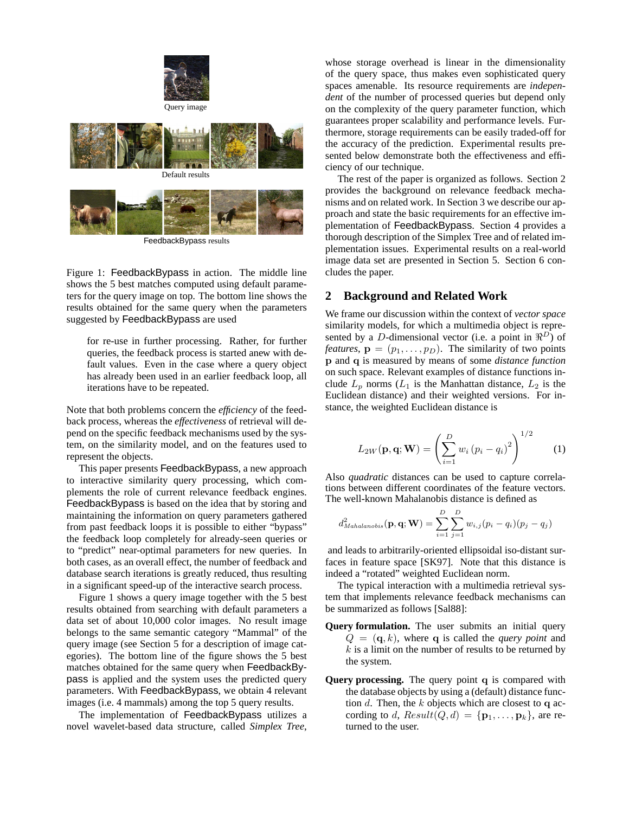





FeedbackBypass results

<span id="page-1-0"></span>Figure 1: FeedbackBypass in action. The middle line shows the 5 best matches computed using default parameters for the query image on top. The bottom line shows the results obtained for the same query when the parameters suggested by FeedbackBypass are used

for re-use in further processing. Rather, for further queries, the feedback process is started anew with default values. Even in the case where a query object has already been used in an earlier feedback loop, all iterations have to be repeated.

Note that both problems concern the *efficiency* of the feedback process, whereas the *effectiveness* of retrieval will depend on the specific feedback mechanisms used by the system, on the similarity model, and on the features used to represent the objects.

This paper presents FeedbackBypass, a new approach to interactive similarity query processing, which complements the role of current relevance feedback engines. FeedbackBypass is based on the idea that by storing and maintaining the information on query parameters gathered from past feedback loops it is possible to either "bypass" the feedback loop completely for already-seen queries or to "predict" near-optimal parameters for new queries. In both cases, as an overall effect, the number of feedback and database search iterations is greatly reduced, thus resulting in a significant speed-up of the interactive search process.

Figure [1](#page-1-0) shows a query image together with the 5 best results obtained from searching with default parameters a data set of about 10,000 color images. No result image belongs to the same semantic category "Mammal" of the query image (see Section [5](#page-6-0) for a description of image categories). The bottom line of the figure shows the 5 best matches obtained for the same query when FeedbackBypass is applied and the system uses the predicted query parameters. With FeedbackBypass, we obtain 4 relevant images (i.e. 4 mammals) among the top 5 query results.

The implementation of FeedbackBypass utilizes a novel wavelet-based data structure, called *Simplex Tree*,

whose storage overhead is linear in the dimensionality of the query space, thus makes even sophisticated query spaces amenable. Its resource requirements are *independent* of the number of processed queries but depend only on the complexity of the query parameter function, which guarantees proper scalability and performance levels. Furthermore, storage requirements can be easily traded-off for the accuracy of the prediction. Experimental results presented below demonstrate both the effectiveness and efficiency of our technique.

The rest of the paper is organized as follows. Section [2](#page-1-1) provides the background on relevance feedback mechanisms and on related work. In Section [3](#page-2-0) we describe our approach and state the basic requirements for an effective implementation of FeedbackBypass. Section [4](#page-4-0) provides a thorough description of the Simplex Tree and of related implementation issues. Experimental results on a real-world image data set are presented in Section [5](#page-6-0). Section [6](#page-9-4) concludes the paper.

## <span id="page-1-1"></span>**2 Background and Related Work**

We frame our discussion within the context of *vector space* similarity models, for which a multimedia object is represented by a D-dimensional vector (i.e. a point in  $\Re^{D}$ ) of *features*,  $\mathbf{p} = (p_1, \dots, p_D)$ . The similarity of two points p and q is measured by means of some *distance function* on such space. Relevant examples of distance functions include  $L_p$  norms ( $L_1$  is the Manhattan distance,  $L_2$  is the Euclidean distance) and their weighted versions. For instance, the weighted Euclidean distance is

<span id="page-1-2"></span>
$$
L_{2W}(\mathbf{p}, \mathbf{q}; \mathbf{W}) = \left(\sum_{i=1}^{D} w_i (p_i - q_i)^2\right)^{1/2}
$$
 (1)

Also *quadratic* distances can be used to capture correlations between different coordinates of the feature vectors. The well-known Mahalanobis distance is defined as

$$
d_{Mahalanobis}^{2}(\mathbf{p}, \mathbf{q}; \mathbf{W}) = \sum_{i=1}^{D} \sum_{j=1}^{D} w_{i,j} (p_i - q_i) (p_j - q_j)
$$

and leads to arbitrarily-oriented ellipsoidal iso-distant surfaces in feature space [[SK97](#page-9-1)]. Note that this distance is indeed a "rotated" weighted Euclidean norm.

The typical interaction with a multimedia retrieval system that implements relevance feedback mechanisms can be summarized as follows [\[Sal88\]](#page-9-5):

- **Query formulation.** The user submits an initial query  $Q = (q, k)$ , where q is called the *query point* and  $k$  is a limit on the number of results to be returned by the system.
- **Query processing.** The query point q is compared with the database objects by using a (default) distance function d. Then, the k objects which are closest to q according to d,  $Result(Q, d) = {\mathbf{p}_1, \ldots, \mathbf{p}_k}$ , are returned to the user.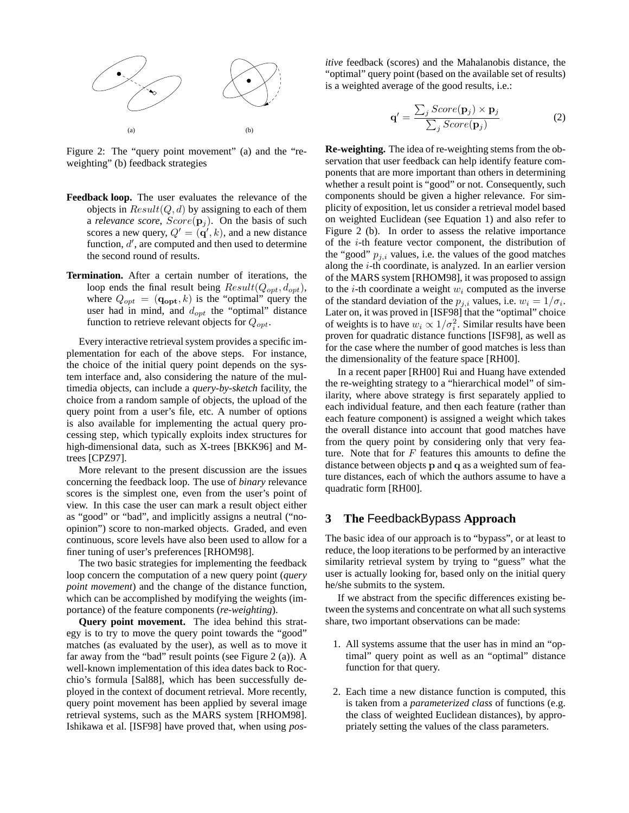

<span id="page-2-1"></span>Figure 2: The "query point movement" (a) and the "reweighting" (b) feedback strategies

- **Feedback loop.** The user evaluates the relevance of the objects in  $Result(Q, d)$  by assigning to each of them a *relevance score*,  $Score(\mathbf{p}_i)$ . On the basis of such scores a new query,  $Q' = (\mathbf{q}', k)$ , and a new distance function,  $d'$ , are computed and then used to determine the second round of results.
- **Termination.** After a certain number of iterations, the loop ends the final result being  $Result(Q_{opt}, d_{opt}),$ where  $Q_{opt} = (\mathbf{q_{opt}}, k)$  is the "optimal" query the user had in mind, and  $d_{opt}$  the "optimal" distance function to retrieve relevant objects for  $Q_{opt}$ .

Every interactive retrieval system provides a specific implementation for each of the above steps. For instance, the choice of the initial query point depends on the system interface and, also considering the nature of the multimedia objects, can include a *query-by-sketch* facility, the choice from a random sample of objects, the upload of the query point from a user's file, etc. A number of options is also available for implementing the actual query processing step, which typically exploits index structures for high-dimensional data, such as X-trees [[BKK96\]](#page-9-6) and Mtrees [\[CPZ97\]](#page-9-7).

More relevant to the present discussion are the issues concerning the feedback loop. The use of *binary* relevance scores is the simplest one, even from the user's point of view. In this case the user can mark a result object either as "good" or "bad", and implicitly assigns a neutral ("noopinion") score to non-marked objects. Graded, and even continuous, score levels have also been used to allow for a finer tuning of user's preferences [[RHOM98\]](#page-9-2).

The two basic strategies for implementing the feedback loop concern the computation of a new query point (*query point movement*) and the change of the distance function, which can be accomplished by modifying the weights (importance) of the feature components (*re-weighting*).

**Query point movement.** The idea behind this strategy is to try to move the query point towards the "good" matches (as evaluated by the user), as well as to move it far away from the "bad" result points (see Figure [2](#page-2-1) (a)). A well-known implementation of this idea dates back to Rocchio's formula [[Sal88](#page-9-5)], which has been successfully deployed in the context of document retrieval. More recently, query point movement has been applied by several image retrieval systems, such as the MARS system [\[RHOM98\]](#page-9-2). Ishikawa et al. [[ISF98\]](#page-9-8) have proved that, when using *pos-* *itive* feedback (scores) and the Mahalanobis distance, the "optimal" query point (based on the available set of results) is a weighted average of the good results, i.e.:

$$
\mathbf{q}' = \frac{\sum_{j} Score(\mathbf{p}_j) \times \mathbf{p}_j}{\sum_{j} Score(\mathbf{p}_j)}
$$
(2)

**Re-weighting.** The idea of re-weighting stems from the observation that user feedback can help identify feature components that are more important than others in determining whether a result point is "good" or not. Consequently, such components should be given a higher relevance. For simplicity of exposition, let us consider a retrieval model based on weighted Euclidean (see Equation [1\)](#page-1-2) and also refer to Figure [2](#page-2-1) (b). In order to assess the relative importance of the  $i$ -th feature vector component, the distribution of the "good"  $p_{j,i}$  values, i.e. the values of the good matches along the  $i$ -th coordinate, is analyzed. In an earlier version of the MARS system [[RHOM98\]](#page-9-2), it was proposed to assign to the *i*-th coordinate a weight  $w_i$  computed as the inverse of the standard deviation of the  $p_{j,i}$  values, i.e.  $w_i = 1/\sigma_i$ . Later on, it was proved in [\[ISF98\]](#page-9-8) that the "optimal" choice of weights is to have  $w_i \propto 1/\sigma_i^2$ . Similar results have been proven for quadratic distance functions [[ISF98](#page-9-8)], as well as for the case where the number of good matches is less than the dimensionality of the feature space [[RH00\]](#page-9-9).

In a recent paper [\[RH00](#page-9-9)] Rui and Huang have extended the re-weighting strategy to a "hierarchical model" of similarity, where above strategy is first separately applied to each individual feature, and then each feature (rather than each feature component) is assigned a weight which takes the overall distance into account that good matches have from the query point by considering only that very feature. Note that for  $F$  features this amounts to define the distance between objects p and q as a weighted sum of feature distances, each of which the authors assume to have a quadratic form [[RH00](#page-9-9)].

## <span id="page-2-0"></span>**3 The** FeedbackBypass **Approach**

The basic idea of our approach is to "bypass", or at least to reduce, the loop iterations to be performed by an interactive similarity retrieval system by trying to "guess" what the user is actually looking for, based only on the initial query he/she submits to the system.

If we abstract from the specific differences existing between the systems and concentrate on what all such systems share, two important observations can be made:

- 1. All systems assume that the user has in mind an "optimal" query point as well as an "optimal" distance function for that query.
- 2. Each time a new distance function is computed, this is taken from a *parameterized class* of functions (e.g. the class of weighted Euclidean distances), by appropriately setting the values of the class parameters.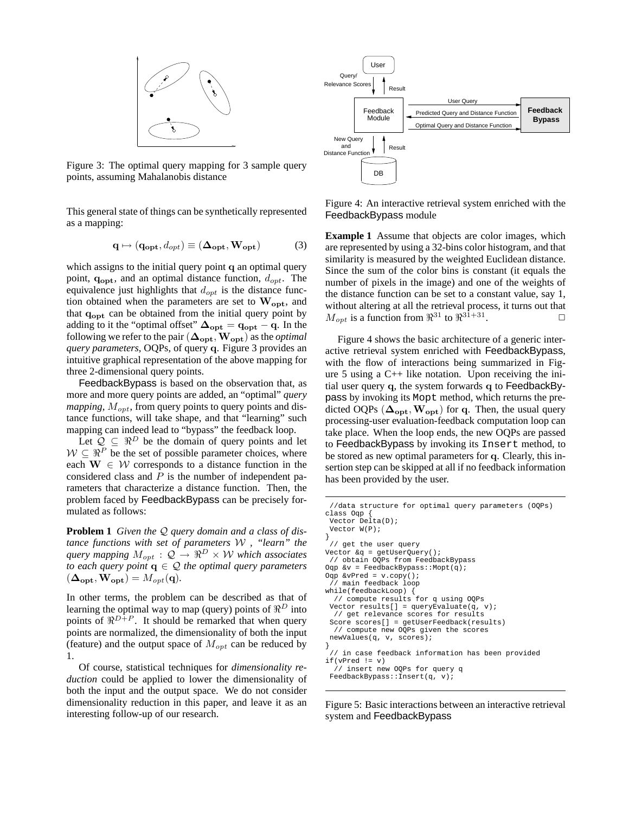

<span id="page-3-0"></span>Figure 3: The optimal query mapping for 3 sample query points, assuming Mahalanobis distance

This general state of things can be synthetically represented as a mapping:

$$
\mathbf{q} \mapsto (\mathbf{q}_{\mathbf{opt}}, d_{opt}) \equiv (\mathbf{\Delta}_{\mathbf{opt}}, \mathbf{W}_{\mathbf{opt}}) \tag{3}
$$

which assigns to the initial query point q an optimal query point,  $q_{opt}$ , and an optimal distance function,  $d_{opt}$ . The equivalence just highlights that  $d_{opt}$  is the distance function obtained when the parameters are set to  $W_{opt}$ , and that  $q_{\text{opt}}$  can be obtained from the initial query point by adding to it the "optimal offset"  $\Delta_{opt} = q_{opt} - q$ . In the following we refer to the pair  $(\mathbf{\Delta_{opt}}, \mathbf{W_{opt}})$  as the *optimal query parameters*, OQPs, of query q. Figure [3](#page-3-0) provides an intuitive graphical representation of the above mapping for three 2-dimensional query points.

FeedbackBypass is based on the observation that, as more and more query points are added, an "optimal" *query mapping*,  $M_{opt}$ , from query points to query points and distance functions, will take shape, and that "learning" such mapping can indeed lead to "bypass" the feedback loop.

Let  $\mathcal{Q} \subseteq \Re^D$  be the domain of query points and let  $W \subseteq \mathbb{R}^P$  be the set of possible parameter choices, where each  $W \in W$  corresponds to a distance function in the considered class and  $P$  is the number of independent parameters that characterize a distance function. Then, the problem faced by FeedbackBypass can be precisely formulated as follows:

<span id="page-3-3"></span>**Problem 1** *Given the* Q *query domain and a class of distance functions with set of parameters* W *, "learn" the query mapping*  $M_{opt}$ :  $\mathcal{Q} \rightarrow \mathbb{R}^D \times \mathcal{W}$  *which associates to each query point*  $q \in \mathcal{Q}$  *the optimal query parameters*  $(\mathbf{\Delta_{opt}}, \mathbf{W_{opt}}) = M_{opt}(\mathbf{q}).$ 

In other terms, the problem can be described as that of learning the optimal way to map (query) points of  $\Re^D$  into points of  $\mathbb{R}^{D+P}$ . It should be remarked that when query points are normalized, the dimensionality of both the input (feature) and the output space of  $M_{opt}$  can be reduced by 1.

<span id="page-3-4"></span>Of course, statistical techniques for *dimensionality reduction* could be applied to lower the dimensionality of both the input and the output space. We do not consider dimensionality reduction in this paper, and leave it as an interesting follow-up of our research.



<span id="page-3-1"></span>Figure 4: An interactive retrieval system enriched with the FeedbackBypass module

**Example 1** Assume that objects are color images, which are represented by using a 32-bins color histogram, and that similarity is measured by the weighted Euclidean distance. Since the sum of the color bins is constant (it equals the number of pixels in the image) and one of the weights of the distance function can be set to a constant value, say 1, without altering at all the retrieval process, it turns out that  $M_{opt}$  is a function from  $\mathbb{R}^{31}$  to  $\mathbb{R}^{31+31}$ .  $\Box$ 

Figure [4](#page-3-1) shows the basic architecture of a generic interactive retrieval system enriched with FeedbackBypass, with the flow of interactions being summarized in Figure [5](#page-3-2) using a C++ like notation. Upon receiving the initial user query q, the system forwards q to FeedbackBypass by invoking its Mopt method, which returns the predicted OQPs  $(\Delta_{opt}, W_{opt})$  for q. Then, the usual query processing-user evaluation-feedback computation loop can take place. When the loop ends, the new OQPs are passed to FeedbackBypass by invoking its Insert method, to be stored as new optimal parameters for q. Clearly, this insertion step can be skipped at all if no feedback information has been provided by the user.

```
//data structure for optimal query parameters (OQPs)
class Oqp {
 Vector Delta(D);
 Vector W(P);
}
 // get the user query
Vector &q = getUserQuery();
 // obtain OQPs from FeedbackBypass
Oqp &v = FeedbackBypass: : Mopt(q);
\texttt{Oqp } \& \texttt{vPred} = \texttt{v}.\texttt{copy}() \texttt{;}// main feedback loop
while(feedbackLoop) {
  // compute results for q using OQPs
 Vector results[] = queryEvaluate(q, v);// get relevance scores for results
 Score scores[] = getUserFeedback(results)
  // compute new OQPs given the scores
 newValues(q, v, scores);
}
 // in case feedback information has been provided
if(vPred != v)
  // insert new OQPs for query q
 FeedbackBypass::Insert(q, v);
```
Figure 5: Basic interactions between an interactive retrieval

<span id="page-3-2"></span>system and FeedbackBypass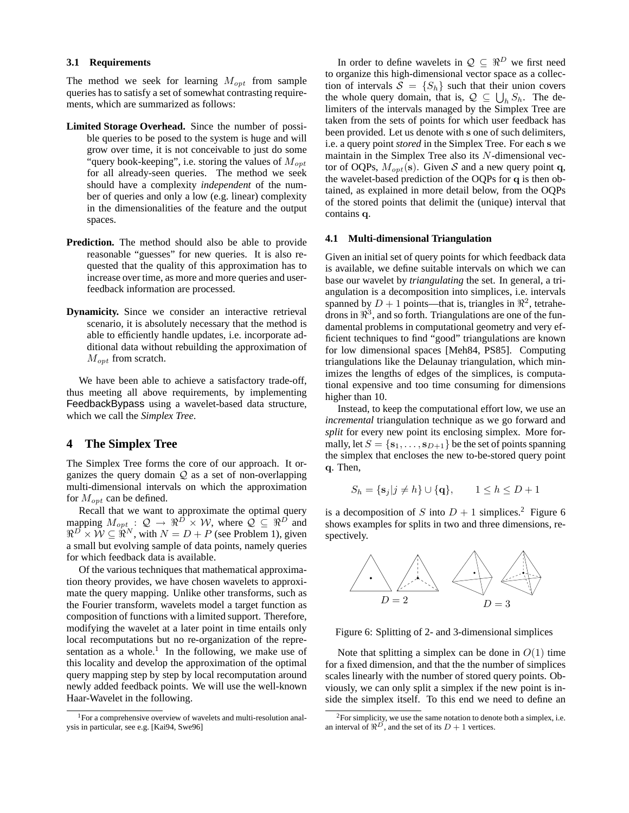#### **3.1 Requirements**

The method we seek for learning  $M_{opt}$  from sample queries has to satisfy a set of somewhat contrasting requirements, which are summarized as follows:

- **Limited Storage Overhead.** Since the number of possible queries to be posed to the system is huge and will grow over time, it is not conceivable to just do some "query book-keeping", i.e. storing the values of  $M_{opt}$ for all already-seen queries. The method we seek should have a complexity *independent* of the number of queries and only a low (e.g. linear) complexity in the dimensionalities of the feature and the output spaces.
- **Prediction.** The method should also be able to provide reasonable "guesses" for new queries. It is also requested that the quality of this approximation has to increase over time, as more and more queries and userfeedback information are processed.
- **Dynamicity.** Since we consider an interactive retrieval scenario, it is absolutely necessary that the method is able to efficiently handle updates, i.e. incorporate additional data without rebuilding the approximation of  $M_{opt}$  from scratch.

We have been able to achieve a satisfactory trade-off, thus meeting all above requirements, by implementing FeedbackBypass using a wavelet-based data structure, which we call the *Simplex Tree*.

## <span id="page-4-0"></span>**4 The Simplex Tree**

The Simplex Tree forms the core of our approach. It organizes the query domain  $Q$  as a set of non-overlapping multi-dimensional intervals on which the approximation for  $M_{opt}$  can be defined.

Recall that we want to approximate the optimal query mapping  $M_{opt}$ :  $\mathcal{Q} \rightarrow \Re^{D} \times \mathcal{W}$ , where  $\mathcal{Q} \subseteq \Re^{D}$  and  $\Re^{D} \times \mathcal{W} \subseteq \Re^{N}$ , with  $N = D + P$  (see Problem [1\)](#page-3-3), given a small but evolving sample of data points, namely queries for which feedback data is available.

Of the various techniques that mathematical approximation theory provides, we have chosen wavelets to approximate the query mapping. Unlike other transforms, such as the Fourier transform, wavelets model a target function as composition of functions with a limited support. Therefore, modifying the wavelet at a later point in time entails only local recomputations but no re-organization of the repre-sentation as a whole.<sup>[1](#page-4-1)</sup> In the following, we make use of this locality and develop the approximation of the optimal query mapping step by step by local recomputation around newly added feedback points. We will use the well-known Haar-Wavelet in the following.

In order to define wavelets in  $\mathcal{Q} \subseteq \Re^D$  we first need to organize this high-dimensional vector space as a collection of intervals  $S = \{S_h\}$  such that their union covers the whole query domain, that is,  $\mathcal{Q} \subseteq \bigcup_h S_h$ . The delimiters of the intervals managed by the Simplex Tree are taken from the sets of points for which user feedback has been provided. Let us denote with s one of such delimiters, i.e. a query point *stored* in the Simplex Tree. For each s we maintain in the Simplex Tree also its  $N$ -dimensional vector of OQPs,  $M_{opt}(s)$ . Given S and a new query point q, the wavelet-based prediction of the OQPs for q is then obtained, as explained in more detail below, from the OQPs of the stored points that delimit the (unique) interval that contains q.

#### **4.1 Multi-dimensional Triangulation**

Given an initial set of query points for which feedback data is available, we define suitable intervals on which we can base our wavelet by *triangulating* the set. In general, a triangulation is a decomposition into simplices, i.e. intervals spanned by  $D + 1$  points—that is, triangles in  $\mathbb{R}^2$ , tetrahedrons in  $\mathbb{R}^3$ , and so forth. Triangulations are one of the fundamental problems in computational geometry and very efficient techniques to find "good" triangulations are known for low dimensional spaces [[Meh84](#page-9-12), [PS85\]](#page-9-13). Computing triangulations like the Delaunay triangulation, which minimizes the lengths of edges of the simplices, is computational expensive and too time consuming for dimensions higher than 10.

Instead, to keep the computational effort low, we use an *incremental* triangulation technique as we go forward and *split* for every new point its enclosing simplex. More formally, let  $S = \{s_1, \ldots, s_{D+1}\}\$  be the set of points spanning the simplex that encloses the new to-be-stored query point q. Then,

$$
S_h = \{ \mathbf{s}_j | j \neq h \} \cup \{ \mathbf{q} \}, \qquad 1 \leq h \leq D + 1
$$

is a decomposition of S into  $D + 1$  simplices.<sup>[2](#page-4-2)</sup> Figure [6](#page-4-3) shows examples for splits in two and three dimensions, respectively.



<span id="page-4-3"></span>Figure 6: Splitting of 2- and 3-dimensional simplices

Note that splitting a simplex can be done in  $O(1)$  time for a fixed dimension, and that the the number of simplices scales linearly with the number of stored query points. Obviously, we can only split a simplex if the new point is inside the simplex itself. To this end we need to define an

<span id="page-4-1"></span><sup>1</sup>For a comprehensive overview of wavelets and multi-resolution analysis in particular, see e.g. [[Kai94](#page-9-10), [Swe96](#page-9-11)]

<span id="page-4-2"></span><sup>2</sup>For simplicity, we use the same notation to denote both a simplex, i.e. an interval of  $\Re^{D}$ , and the set of its  $D + 1$  vertices.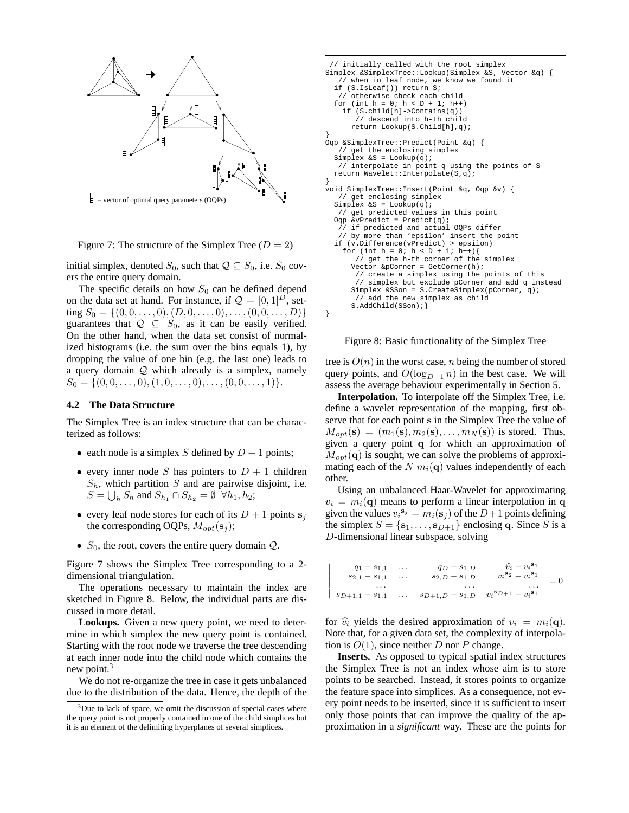

<span id="page-5-0"></span>Figure 7: The structure of the Simplex Tree  $(D = 2)$ 

initial simplex, denoted  $S_0$ , such that  $\mathcal{Q} \subseteq S_0$ , i.e.  $S_0$  covers the entire query domain.

The specific details on how  $S_0$  can be defined depend on the data set at hand. For instance, if  $\mathcal{Q} = [0, 1]^D$ , setting  $S_0 = \{(0, 0, \ldots, 0), (D, 0, \ldots, 0), \ldots, (0, 0, \ldots, D)\}\$ guarantees that  $Q \subseteq S_0$ , as it can be easily verified. On the other hand, when the data set consist of normalized histograms (i.e. the sum over the bins equals 1), by dropping the value of one bin (e.g. the last one) leads to a query domain Q which already is a simplex, namely  $S_0 = \{(0, 0, \ldots, 0), (1, 0, \ldots, 0), \ldots, (0, 0, \ldots, 1)\}.$ 

#### **4.2 The Data Structure**

The Simplex Tree is an index structure that can be characterized as follows:

- each node is a simplex S defined by  $D + 1$  points;
- every inner node S has pointers to  $D + 1$  children  $S_h$ , which partition S and are pairwise disjoint, i.e.  $S = \bigcup_h S_h$  and  $S_{h_1} \cap S_{h_2} = \emptyset$   $\forall h_1, h_2$ ;
- every leaf node stores for each of its  $D + 1$  points  $s_i$ the corresponding OQPs,  $M_{opt}(s_j)$ ;
- $S_0$ , the root, covers the entire query domain  $Q$ .

Figure [7](#page-5-0) shows the Simplex Tree corresponding to a 2 dimensional triangulation.

The operations necessary to maintain the index are sketched in Figure [8](#page-5-1). Below, the individual parts are discussed in more detail.

**Lookups.** Given a new query point, we need to determine in which simplex the new query point is contained. Starting with the root node we traverse the tree descending at each inner node into the child node which contains the new point. $3$ 

We do not re-organize the tree in case it gets unbalanced due to the distribution of the data. Hence, the depth of the

```
// initially called with the root simplex
Simplex &SimplexTree::Lookup(Simplex &S, Vector &q) {
   // when in leaf node, we know we found it
  if (S.IsLeaf()) return S;
   // otherwise check each child
  for (int h = 0; h < D + 1; h_{++})
    if (S.child[h]->Contains(q))
       // descend into h-th child
      return Lookup(S.Child[h],q);
}
Oqp &SimplexTree::Predict(Point &q) {
   // get the enclosing simplex
  Simplex &S = \text{Lookup}(q);
   // interpolate in point q using the points of S
  return Wavelet::Interpolate(S,q);
}
void SimplexTree::Insert(Point &q, Oqp &v) {
   // get enclosing simplex
  Simplex &S = Lookup(q);
   // get predicted values in this point
  Oqp &vPredict = Predict(q);
      if predicted and actual OQPs differ
   // by more than 'epsilon' insert the point
  if (v.Difference(vPredict) > epsilon)
    for (int h = 0; h < D + 1; h++){
       // get the h-th corner of the simplex
      Vector &pCorner = GetCorner(h);
       // create a simplex using the points of this
      // simplex but exclude pCorner and add q instead
Simplex &SSon = S.CreateSimplex(pCorner, q);
          add the new simplex as child
      S.AddChild(SSon); }
}
```
<span id="page-5-1"></span>Figure 8: Basic functionality of the Simplex Tree

tree is  $O(n)$  in the worst case, n being the number of stored query points, and  $O(\log_{D+1} n)$  in the best case. We will assess the average behaviour experimentally in Section [5](#page-6-0).

**Interpolation.** To interpolate off the Simplex Tree, i.e. define a wavelet representation of the mapping, first observe that for each point s in the Simplex Tree the value of  $M_{opt}(s) = (m_1(s), m_2(s), \ldots, m_N(s))$  is stored. Thus, given a query point q for which an approximation of  $M_{\text{out}}(q)$  is sought, we can solve the problems of approximating each of the N  $m_i(\mathbf{q})$  values independently of each other.

Using an unbalanced Haar-Wavelet for approximating  $v_i = m_i(\mathbf{q})$  means to perform a linear interpolation in q given the values  $v_i^{\mathbf{s}_j} = m_i(\mathbf{s}_j)$  of the  $D+1$  points defining the simplex  $S = \{s_1, \ldots, s_{D+1}\}\$ enclosing q. Since S is a D-dimensional linear subspace, solving

$$
\begin{vmatrix}\nq_1 - s_{1,1} & \dots & q_D - s_{1,D} & \hat{v}_i - v_i^{s_1} \\
s_{2,1} - s_{1,1} & \dots & s_{2,D} - s_{1,D} & v_i^{s_2} - v_i^{s_1} \\
\vdots & \vdots & \ddots & \vdots \\
s_{D+1,1} - s_{1,1} & \dots & s_{D+1,D} - s_{1,D} & v_i^{s_{D+1}} - v_i^{s_1}\n\end{vmatrix} = 0
$$

for  $\hat{v}_i$  yields the desired approximation of  $v_i = m_i(\mathbf{q})$ . Note that, for a given data set, the complexity of interpolation is  $O(1)$ , since neither D nor P change.

**Inserts.** As opposed to typical spatial index structures the Simplex Tree is not an index whose aim is to store points to be searched. Instead, it stores points to organize the feature space into simplices. As a consequence, not every point needs to be inserted, since it is sufficient to insert only those points that can improve the quality of the approximation in a *significant* way. These are the points for

<span id="page-5-2"></span><sup>&</sup>lt;sup>3</sup>Due to lack of space, we omit the discussion of special cases where the query point is not properly contained in one of the child simplices but it is an element of the delimiting hyperplanes of several simplices.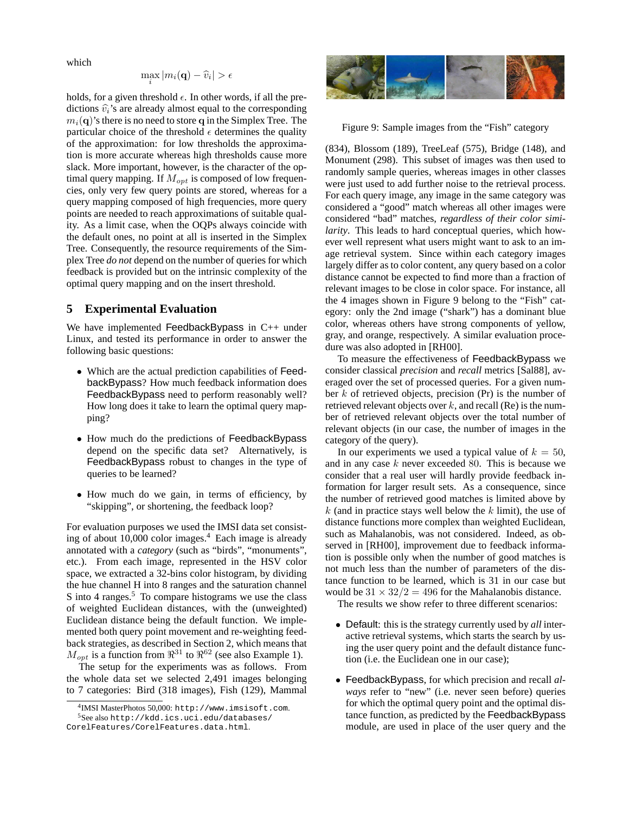which

$$
\max_i |m_i(\mathbf{q}) - \widehat{v}_i| > \epsilon
$$

holds, for a given threshold  $\epsilon$ . In other words, if all the predictions  $\hat{v}_i$ 's are already almost equal to the corresponding  $m_i(\mathbf{q})$ 's there is no need to store q in the Simplex Tree. The particular choice of the threshold  $\epsilon$  determines the quality of the approximation: for low thresholds the approximation is more accurate whereas high thresholds cause more slack. More important, however, is the character of the optimal query mapping. If  $M_{opt}$  is composed of low frequencies, only very few query points are stored, whereas for a query mapping composed of high frequencies, more query points are needed to reach approximations of suitable quality. As a limit case, when the OQPs always coincide with the default ones, no point at all is inserted in the Simplex Tree. Consequently, the resource requirements of the Simplex Tree *do not* depend on the number of queries for which feedback is provided but on the intrinsic complexity of the optimal query mapping and on the insert threshold.

## <span id="page-6-0"></span>**5 Experimental Evaluation**

We have implemented FeedbackBypass in C++ under Linux, and tested its performance in order to answer the following basic questions:

- Which are the actual prediction capabilities of FeedbackBypass? How much feedback information does FeedbackBypass need to perform reasonably well? How long does it take to learn the optimal query mapping?
- How much do the predictions of FeedbackBypass depend on the specific data set? Alternatively, is FeedbackBypass robust to changes in the type of queries to be learned?
- How much do we gain, in terms of efficiency, by "skipping", or shortening, the feedback loop?

For evaluation purposes we used the IMSI data set consist-ing of about 10,000 color images.<sup>[4](#page-6-1)</sup> Each image is already annotated with a *category* (such as "birds", "monuments", etc.). From each image, represented in the HSV color space, we extracted a 32-bins color histogram, by dividing the hue channel H into 8 ranges and the saturation channel S into 4 ranges. $5$  To compare histograms we use the class of weighted Euclidean distances, with the (unweighted) Euclidean distance being the default function. We implemented both query point movement and re-weighting feedback strategies, as described in Section [2](#page-1-1), which means that  $M_{opt}$  is a function from  $\mathbb{R}^{31}$  $\mathbb{R}^{31}$  $\mathbb{R}^{31}$  to  $\mathbb{R}^{62}$  (see also Example 1).

The setup for the experiments was as follows. From the whole data set we selected 2,491 images belonging to 7 categories: Bird (318 images), Fish (129), Mammal



<span id="page-6-3"></span>Figure 9: Sample images from the "Fish" category

(834), Blossom (189), TreeLeaf (575), Bridge (148), and Monument (298). This subset of images was then used to randomly sample queries, whereas images in other classes were just used to add further noise to the retrieval process. For each query image, any image in the same category was considered a "good" match whereas all other images were considered "bad" matches, *regardless of their color similarity*. This leads to hard conceptual queries, which however well represent what users might want to ask to an image retrieval system. Since within each category images largely differ as to color content, any query based on a color distance cannot be expected to find more than a fraction of relevant images to be close in color space. For instance, all the 4 images shown in Figure [9](#page-6-3) belong to the "Fish" category: only the 2nd image ("shark") has a dominant blue color, whereas others have strong components of yellow, gray, and orange, respectively. A similar evaluation procedure was also adopted in [\[RH00\]](#page-9-9).

To measure the effectiveness of FeedbackBypass we consider classical *precision* and *recall* metrics [\[Sal88\]](#page-9-5), averaged over the set of processed queries. For a given number  $k$  of retrieved objects, precision (Pr) is the number of retrieved relevant objects over  $k$ , and recall (Re) is the number of retrieved relevant objects over the total number of relevant objects (in our case, the number of images in the category of the query).

In our experiments we used a typical value of  $k = 50$ , and in any case k never exceeded 80. This is because we consider that a real user will hardly provide feedback information for larger result sets. As a consequence, since the number of retrieved good matches is limited above by  $k$  (and in practice stays well below the  $k$  limit), the use of distance functions more complex than weighted Euclidean, such as Mahalanobis, was not considered. Indeed, as observed in [[RH00\]](#page-9-9), improvement due to feedback information is possible only when the number of good matches is not much less than the number of parameters of the distance function to be learned, which is 31 in our case but would be  $31 \times 32/2 = 496$  for the Mahalanobis distance.

The results we show refer to three different scenarios:

- Default: this is the strategy currently used by *all* interactive retrieval systems, which starts the search by using the user query point and the default distance function (i.e. the Euclidean one in our case);
- FeedbackBypass, for which precision and recall *always* refer to "new" (i.e. never seen before) queries for which the optimal query point and the optimal distance function, as predicted by the FeedbackBypass module, are used in place of the user query and the

<span id="page-6-1"></span><sup>4</sup> IMSI MasterPhotos 50,000: http://www.imsisoft.com.

<span id="page-6-2"></span><sup>5</sup>See also http://kdd.ics.uci.edu/databases/ CorelFeatures/CorelFeatures.data.html.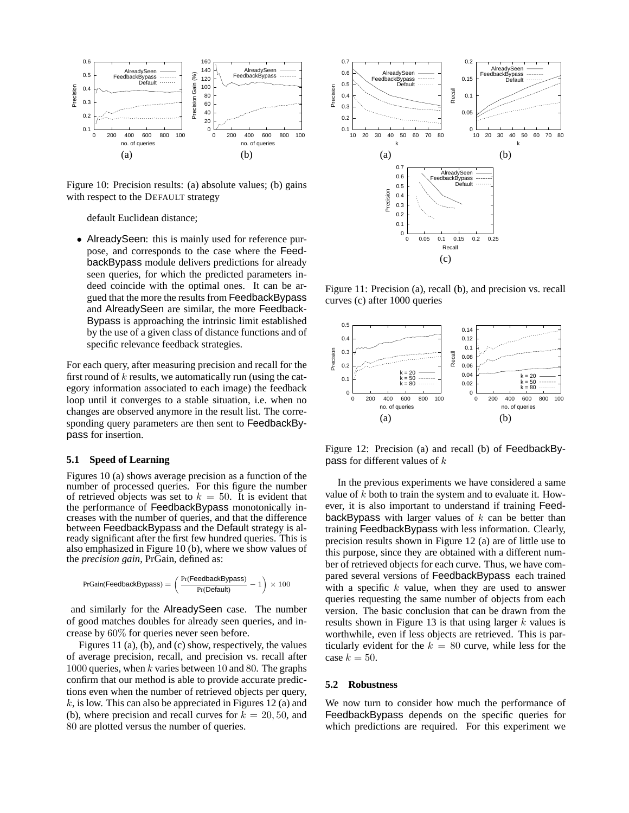

Figure 10: Precision results: (a) absolute values; (b) gains with respect to the DEFAULT strategy

<span id="page-7-0"></span>default Euclidean distance;

• AlreadySeen: this is mainly used for reference purpose, and corresponds to the case where the FeedbackBypass module delivers predictions for already seen queries, for which the predicted parameters indeed coincide with the optimal ones. It can be argued that the more the results from FeedbackBypass and AlreadySeen are similar, the more Feedback-Bypass is approaching the intrinsic limit established by the use of a given class of distance functions and of specific relevance feedback strategies.

For each query, after measuring precision and recall for the first round of  $k$  results, we automatically run (using the category information associated to each image) the feedback loop until it converges to a stable situation, i.e. when no changes are observed anymore in the result list. The corresponding query parameters are then sent to FeedbackBypass for insertion.

#### **5.1 Speed of Learning**

Figures [10](#page-7-0) (a) shows average precision as a function of the number of processed queries. For this figure the number of retrieved objects was set to  $k = 50$ . It is evident that the performance of FeedbackBypass monotonically increases with the number of queries, and that the difference between FeedbackBypass and the Default strategy is already significant after the first few hundred queries. This is also emphasized in Figure [10](#page-7-0) (b), where we show values of the *precision gain*, PrGain, defined as:

$$
\text{PrGain}(\text{FeedbackBypass}) = \left(\frac{\text{Pr}(\text{FeedbackBypass})}{\text{Pr}(\text{Default})} - 1\right) \times 100
$$

and similarly for the AlreadySeen case. The number of good matches doubles for already seen queries, and increase by 60% for queries never seen before.

Figures [11](#page-7-1) (a), (b), and (c) show, respectively, the values of average precision, recall, and precision vs. recall after 1000 queries, when k varies between 10 and 80. The graphs confirm that our method is able to provide accurate predictions even when the number of retrieved objects per query,  $k$ , is low. This can also be appreciated in Figures [12](#page-7-2) (a) and (b), where precision and recall curves for  $k = 20, 50$ , and 80 are plotted versus the number of queries.



<span id="page-7-1"></span>Figure 11: Precision (a), recall (b), and precision vs. recall curves (c) after 1000 queries



<span id="page-7-2"></span>Figure 12: Precision (a) and recall (b) of FeedbackBypass for different values of k

In the previous experiments we have considered a same value of k both to train the system and to evaluate it. However, it is also important to understand if training FeedbackBypass with larger values of  $k$  can be better than training FeedbackBypass with less information. Clearly, precision results shown in Figure [12](#page-7-2) (a) are of little use to this purpose, since they are obtained with a different number of retrieved objects for each curve. Thus, we have compared several versions of FeedbackBypass each trained with a specific  $k$  value, when they are used to answer queries requesting the same number of objects from each version. The basic conclusion that can be drawn from the results shown in Figure [13](#page-8-0) is that using larger  $k$  values is worthwhile, even if less objects are retrieved. This is particularly evident for the  $k = 80$  curve, while less for the case  $k = 50$ .

#### **5.2 Robustness**

We now turn to consider how much the performance of FeedbackBypass depends on the specific queries for which predictions are required. For this experiment we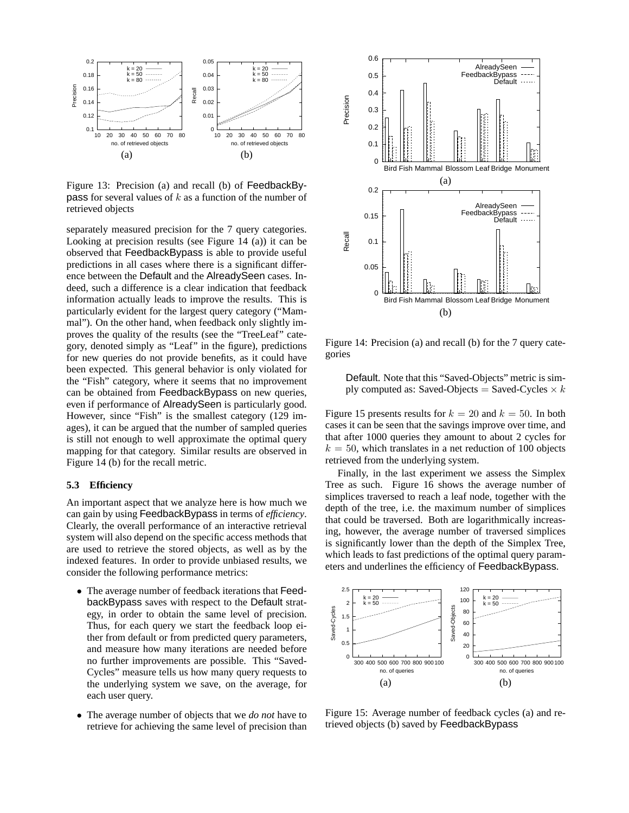

<span id="page-8-0"></span>Figure 13: Precision (a) and recall (b) of FeedbackBy**pass** for several values of  $k$  as a function of the number of retrieved objects

separately measured precision for the 7 query categories. Looking at precision results (see Figure [14](#page-8-1) (a)) it can be observed that FeedbackBypass is able to provide useful predictions in all cases where there is a significant difference between the Default and the AlreadySeen cases. Indeed, such a difference is a clear indication that feedback information actually leads to improve the results. This is particularly evident for the largest query category ("Mammal"). On the other hand, when feedback only slightly improves the quality of the results (see the "TreeLeaf" category, denoted simply as "Leaf" in the figure), predictions for new queries do not provide benefits, as it could have been expected. This general behavior is only violated for the "Fish" category, where it seems that no improvement can be obtained from FeedbackBypass on new queries, even if performance of AlreadySeen is particularly good. However, since "Fish" is the smallest category (129 images), it can be argued that the number of sampled queries is still not enough to well approximate the optimal query mapping for that category. Similar results are observed in Figure [14](#page-8-1) (b) for the recall metric.

#### **5.3 Efficiency**

An important aspect that we analyze here is how much we can gain by using FeedbackBypass in terms of *efficiency*. Clearly, the overall performance of an interactive retrieval system will also depend on the specific access methods that are used to retrieve the stored objects, as well as by the indexed features. In order to provide unbiased results, we consider the following performance metrics:

- The average number of feedback iterations that FeedbackBypass saves with respect to the Default strategy, in order to obtain the same level of precision. Thus, for each query we start the feedback loop either from default or from predicted query parameters, and measure how many iterations are needed before no further improvements are possible. This "Saved-Cycles" measure tells us how many query requests to the underlying system we save, on the average, for each user query.
- The average number of objects that we *do not* have to retrieve for achieving the same level of precision than



Figure 14: Precision (a) and recall (b) for the 7 query categories

<span id="page-8-1"></span>Default. Note that this "Saved-Objects" metric is simply computed as: Saved-Objects = Saved-Cycles  $\times k$ 

Figure [15](#page-8-2) presents results for  $k = 20$  and  $k = 50$ . In both cases it can be seen that the savings improve over time, and that after 1000 queries they amount to about 2 cycles for  $k = 50$ , which translates in a net reduction of 100 objects retrieved from the underlying system.

Finally, in the last experiment we assess the Simplex Tree as such. Figure [16](#page-9-14) shows the average number of simplices traversed to reach a leaf node, together with the depth of the tree, i.e. the maximum number of simplices that could be traversed. Both are logarithmically increasing, however, the average number of traversed simplices is significantly lower than the depth of the Simplex Tree, which leads to fast predictions of the optimal query parameters and underlines the efficiency of FeedbackBypass.



<span id="page-8-2"></span>Figure 15: Average number of feedback cycles (a) and retrieved objects (b) saved by FeedbackBypass